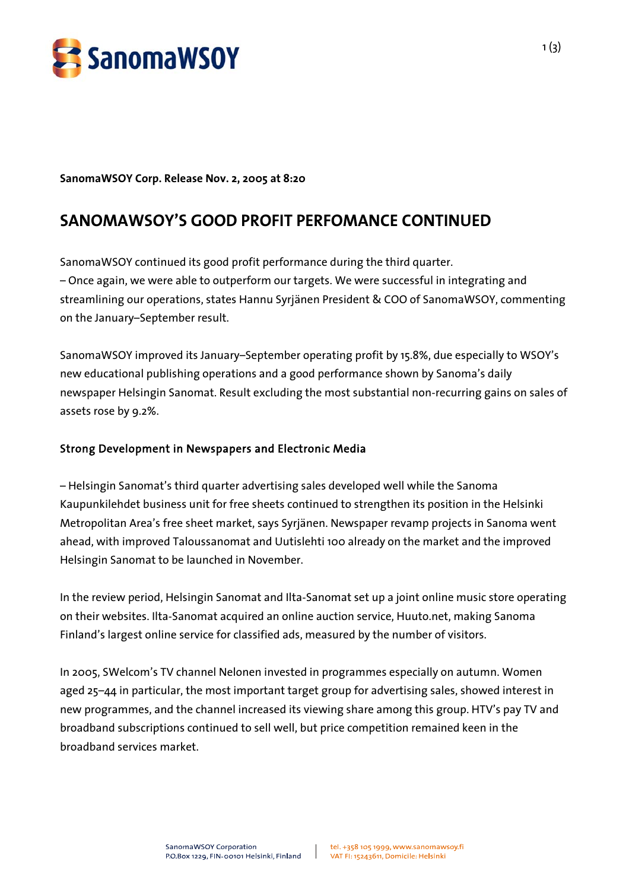

**SanomaWSOY Corp. Release Nov. 2, 2005 at 8:20** 

# **SANOMAWSOY'S GOOD PROFIT PERFOMANCE CONTINUED**

SanomaWSOY continued its good profit performance during the third quarter. – Once again, we were able to outperform our targets. We were successful in integrating and streamlining our operations, states Hannu Syrjänen President & COO of SanomaWSOY, commenting on the January–September result.

SanomaWSOY improved its January–September operating profit by 15.8%, due especially to WSOY's new educational publishing operations and a good performance shown by Sanoma's daily newspaper Helsingin Sanomat. Result excluding the most substantial non-recurring gains on sales of assets rose by 9.2%.

### Strong Development in Newspapers and Electronic Media

– Helsingin Sanomat's third quarter advertising sales developed well while the Sanoma Kaupunkilehdet business unit for free sheets continued to strengthen its position in the Helsinki Metropolitan Area's free sheet market, says Syrjänen. Newspaper revamp projects in Sanoma went ahead, with improved Taloussanomat and Uutislehti 100 already on the market and the improved Helsingin Sanomat to be launched in November.

In the review period, Helsingin Sanomat and Ilta-Sanomat set up a joint online music store operating on their websites. Ilta-Sanomat acquired an online auction service, Huuto.net, making Sanoma Finland's largest online service for classified ads, measured by the number of visitors.

In 2005, SWelcom's TV channel Nelonen invested in programmes especially on autumn. Women aged 25–44 in particular, the most important target group for advertising sales, showed interest in new programmes, and the channel increased its viewing share among this group. HTV's pay TV and broadband subscriptions continued to sell well, but price competition remained keen in the broadband services market.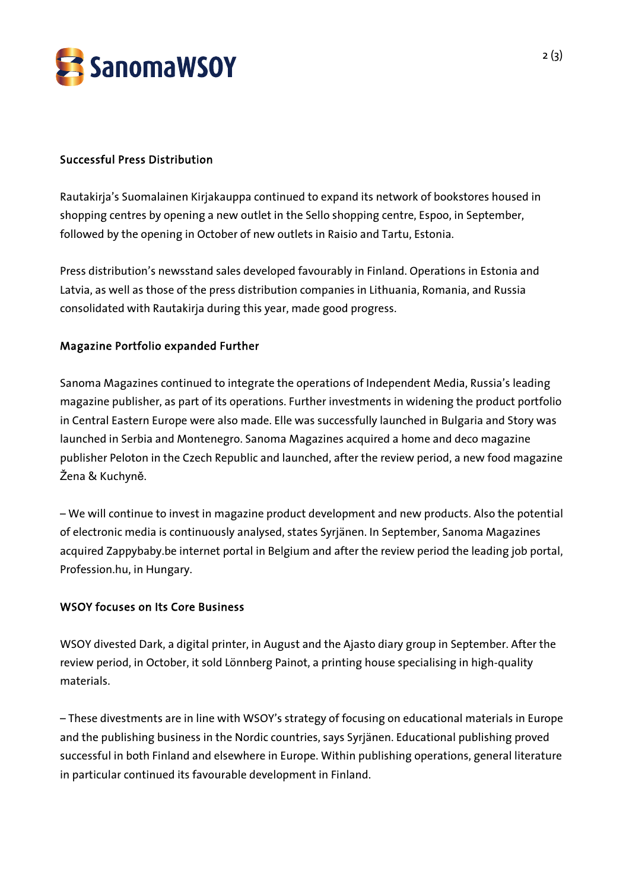

### Successful Press Distribution

Rautakirja's Suomalainen Kirjakauppa continued to expand its network of bookstores housed in shopping centres by opening a new outlet in the Sello shopping centre, Espoo, in September, followed by the opening in October of new outlets in Raisio and Tartu, Estonia.

Press distribution's newsstand sales developed favourably in Finland. Operations in Estonia and Latvia, as well as those of the press distribution companies in Lithuania, Romania, and Russia consolidated with Rautakirja during this year, made good progress.

### Magazine Portfolio expanded Further

Sanoma Magazines continued to integrate the operations of Independent Media, Russia's leading magazine publisher, as part of its operations. Further investments in widening the product portfolio in Central Eastern Europe were also made. Elle was successfully launched in Bulgaria and Story was launched in Serbia and Montenegro. Sanoma Magazines acquired a home and deco magazine publisher Peloton in the Czech Republic and launched, after the review period, a new food magazine Žena & Kuchyně.

– We will continue to invest in magazine product development and new products. Also the potential of electronic media is continuously analysed, states Syrjänen. In September, Sanoma Magazines acquired Zappybaby.be internet portal in Belgium and after the review period the leading job portal, Profession.hu, in Hungary.

### WSOY focuses on Its Core Business

WSOY divested Dark, a digital printer, in August and the Ajasto diary group in September. After the review period, in October, it sold Lönnberg Painot, a printing house specialising in high-quality materials.

– These divestments are in line with WSOY's strategy of focusing on educational materials in Europe and the publishing business in the Nordic countries, says Syrjänen. Educational publishing proved successful in both Finland and elsewhere in Europe. Within publishing operations, general literature in particular continued its favourable development in Finland.